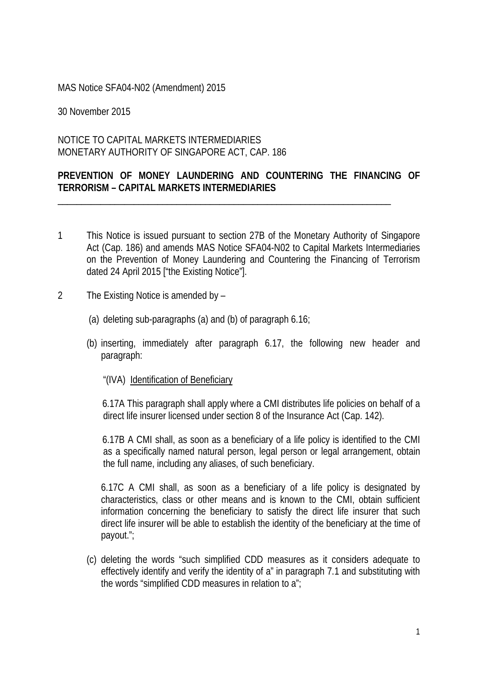## MAS Notice SFA04-N02 (Amendment) 2015

30 November 2015

## NOTICE TO CAPITAL MARKETS INTERMEDIARIES MONETARY AUTHORITY OF SINGAPORE ACT, CAP. 186

## **PREVENTION OF MONEY LAUNDERING AND COUNTERING THE FINANCING OF TERRORISM – CAPITAL MARKETS INTERMEDIARIES**

\_\_\_\_\_\_\_\_\_\_\_\_\_\_\_\_\_\_\_\_\_\_\_\_\_\_\_\_\_\_\_\_\_\_\_\_\_\_\_\_\_\_\_\_\_\_\_\_\_\_\_\_\_\_\_\_\_\_\_\_\_\_\_\_\_\_\_\_\_\_

- 1 This Notice is issued pursuant to section 27B of the Monetary Authority of Singapore Act (Cap. 186) and amends MAS Notice SFA04-N02 to Capital Markets Intermediaries on the Prevention of Money Laundering and Countering the Financing of Terrorism dated 24 April 2015 ["the Existing Notice"].
- 2 The Existing Notice is amended by
	- (a) deleting sub-paragraphs (a) and (b) of paragraph 6.16;
	- (b) inserting, immediately after paragraph 6.17, the following new header and paragraph:
		- "(IVA) Identification of Beneficiary

6.17A This paragraph shall apply where a CMI distributes life policies on behalf of a direct life insurer licensed under section 8 of the Insurance Act (Cap. 142).

6.17B A CMI shall, as soon as a beneficiary of a life policy is identified to the CMI as a specifically named natural person, legal person or legal arrangement, obtain the full name, including any aliases, of such beneficiary.

6.17C A CMI shall, as soon as a beneficiary of a life policy is designated by characteristics, class or other means and is known to the CMI, obtain sufficient information concerning the beneficiary to satisfy the direct life insurer that such direct life insurer will be able to establish the identity of the beneficiary at the time of payout.";

(c) deleting the words "such simplified CDD measures as it considers adequate to effectively identify and verify the identity of a" in paragraph 7.1 and substituting with the words "simplified CDD measures in relation to a";